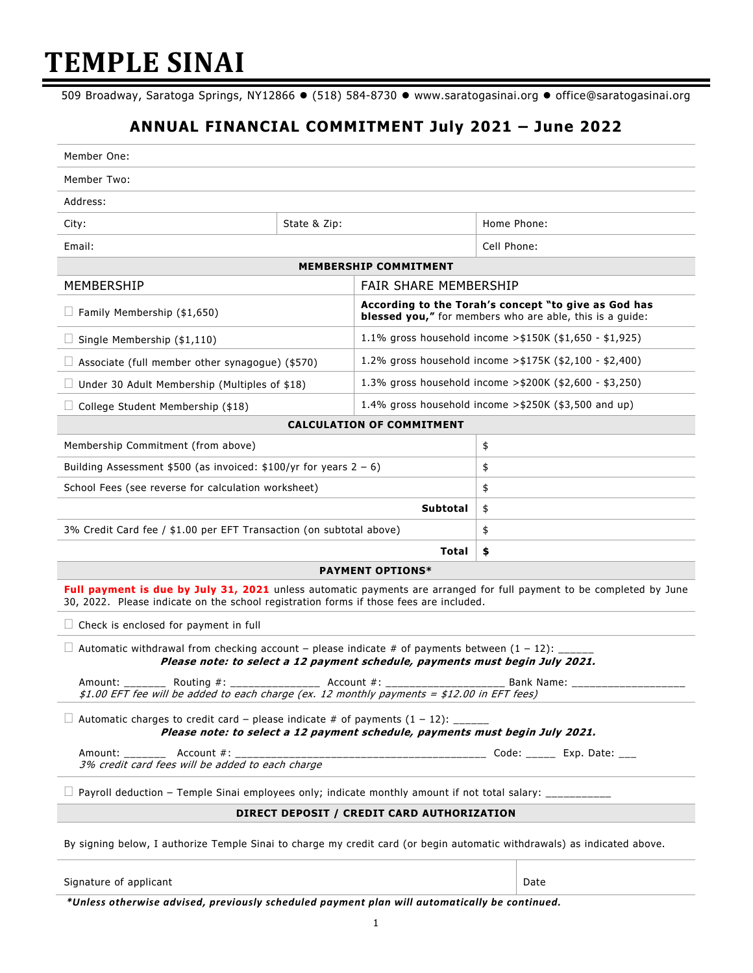# **TEMPLE SINAI**

509 Broadway, Saratoga Springs, NY12866 · (518) 584-8730 · www.saratogasinai.org · office@saratogasinai.org

## **ANNUAL FINANCIAL COMMITMENT July 2021 – June 2022**

| Member One:                                                                                                                                                                                      |              |                                                                                                                  |                                                                                                                      |  |  |
|--------------------------------------------------------------------------------------------------------------------------------------------------------------------------------------------------|--------------|------------------------------------------------------------------------------------------------------------------|----------------------------------------------------------------------------------------------------------------------|--|--|
| Member Two:                                                                                                                                                                                      |              |                                                                                                                  |                                                                                                                      |  |  |
| Address:                                                                                                                                                                                         |              |                                                                                                                  |                                                                                                                      |  |  |
| City:                                                                                                                                                                                            | State & Zip: |                                                                                                                  | Home Phone:                                                                                                          |  |  |
| Email:                                                                                                                                                                                           |              |                                                                                                                  | Cell Phone:                                                                                                          |  |  |
| <b>MEMBERSHIP COMMITMENT</b>                                                                                                                                                                     |              |                                                                                                                  |                                                                                                                      |  |  |
| MEMBERSHIP                                                                                                                                                                                       |              | FAIR SHARE MEMBERSHIP                                                                                            |                                                                                                                      |  |  |
| Family Membership (\$1,650)                                                                                                                                                                      |              | According to the Torah's concept "to give as God has<br>blessed you," for members who are able, this is a guide: |                                                                                                                      |  |  |
| Single Membership (\$1,110)                                                                                                                                                                      |              | 1.1% gross household income > $$150K ($1,650 - $1,925)$                                                          |                                                                                                                      |  |  |
| Associate (full member other synagogue) (\$570)                                                                                                                                                  |              | 1.2% gross household income > \$175K (\$2,100 - \$2,400)                                                         |                                                                                                                      |  |  |
| Under 30 Adult Membership (Multiples of \$18)                                                                                                                                                    |              | 1.3% gross household income > \$200K (\$2,600 - \$3,250)                                                         |                                                                                                                      |  |  |
| College Student Membership (\$18)                                                                                                                                                                |              | 1.4% gross household income $>$ \$250K (\$3,500 and up)                                                          |                                                                                                                      |  |  |
|                                                                                                                                                                                                  |              | <b>CALCULATION OF COMMITMENT</b>                                                                                 |                                                                                                                      |  |  |
| Membership Commitment (from above)                                                                                                                                                               |              | \$                                                                                                               |                                                                                                                      |  |  |
| Building Assessment \$500 (as invoiced: \$100/yr for years $2 - 6$ )                                                                                                                             |              |                                                                                                                  | \$                                                                                                                   |  |  |
| School Fees (see reverse for calculation worksheet)                                                                                                                                              |              |                                                                                                                  | \$                                                                                                                   |  |  |
| Subtotal                                                                                                                                                                                         |              |                                                                                                                  | \$                                                                                                                   |  |  |
| 3% Credit Card fee / \$1.00 per EFT Transaction (on subtotal above)                                                                                                                              |              |                                                                                                                  | \$                                                                                                                   |  |  |
| <b>Total</b>                                                                                                                                                                                     |              | \$                                                                                                               |                                                                                                                      |  |  |
|                                                                                                                                                                                                  |              | <b>PAYMENT OPTIONS*</b>                                                                                          | Full payment is due by July 31, 2021 unless automatic payments are arranged for full payment to be completed by June |  |  |
| 30, 2022. Please indicate on the school registration forms if those fees are included.                                                                                                           |              |                                                                                                                  |                                                                                                                      |  |  |
| $\Box$ Check is enclosed for payment in full                                                                                                                                                     |              |                                                                                                                  |                                                                                                                      |  |  |
| $\Box$ Automatic withdrawal from checking account – please indicate # of payments between (1 – 12): ____<br>Please note: to select a 12 payment schedule, payments must begin July 2021.         |              |                                                                                                                  |                                                                                                                      |  |  |
| Amount: _________ Routing #: _______________ Account #: ________________________ Bank Name: _____<br>\$1.00 EFT fee will be added to each charge (ex. 12 monthly payments = \$12.00 in EFT fees) |              |                                                                                                                  |                                                                                                                      |  |  |
| Automatic charges to credit card – please indicate # of payments $(1 - 12)$ : ____<br>Please note: to select a 12 payment schedule, payments must begin July 2021.                               |              |                                                                                                                  |                                                                                                                      |  |  |
| Account #:<br>Amount: _______<br>3% credit card fees will be added to each charge                                                                                                                |              |                                                                                                                  |                                                                                                                      |  |  |
| Payroll deduction - Temple Sinai employees only; indicate monthly amount if not total salary: __________                                                                                         |              |                                                                                                                  |                                                                                                                      |  |  |
| DIRECT DEPOSIT / CREDIT CARD AUTHORIZATION                                                                                                                                                       |              |                                                                                                                  |                                                                                                                      |  |  |
| By signing below, I authorize Temple Sinai to charge my credit card (or begin automatic withdrawals) as indicated above.                                                                         |              |                                                                                                                  |                                                                                                                      |  |  |
|                                                                                                                                                                                                  |              |                                                                                                                  |                                                                                                                      |  |  |

Signature of applicant **Date** 

*\*Unless otherwise advised, previously scheduled payment plan will automatically be continued.*